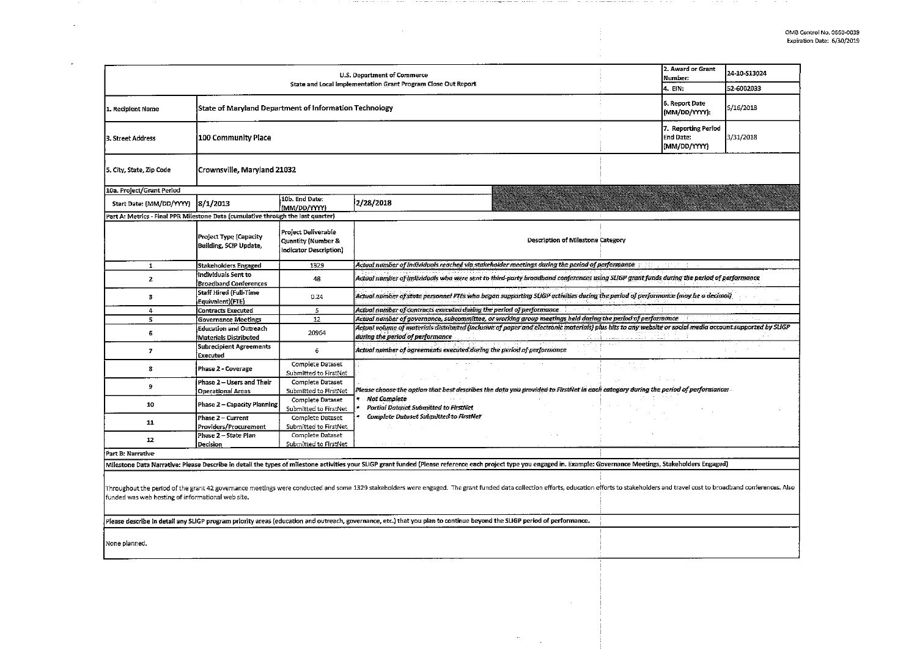$\sim$ 

|                                                                                                                                                                                                                                                                                     |                                                        |                                                                                | U.S. Department of Commerce<br>State and Local Implementation Grant Program Close Out Report                                                                                                                          |  | 2. Award or Grant<br><b>Number:</b> | 24-10-513024 |  |  |  |
|-------------------------------------------------------------------------------------------------------------------------------------------------------------------------------------------------------------------------------------------------------------------------------------|--------------------------------------------------------|--------------------------------------------------------------------------------|-----------------------------------------------------------------------------------------------------------------------------------------------------------------------------------------------------------------------|--|-------------------------------------|--------------|--|--|--|
|                                                                                                                                                                                                                                                                                     |                                                        |                                                                                |                                                                                                                                                                                                                       |  | 4. EIN:                             | 52-6002033   |  |  |  |
| 1. Recipient Name                                                                                                                                                                                                                                                                   | State of Maryland Department of Information Technology |                                                                                |                                                                                                                                                                                                                       |  |                                     | 5/16/2018    |  |  |  |
| 3. Street Address                                                                                                                                                                                                                                                                   | 100 Community Place                                    |                                                                                |                                                                                                                                                                                                                       |  |                                     |              |  |  |  |
| Crownsville, Maryland 21032<br>5. City, State, Zip Code                                                                                                                                                                                                                             |                                                        |                                                                                |                                                                                                                                                                                                                       |  |                                     |              |  |  |  |
| 10a. Project/Grant Period                                                                                                                                                                                                                                                           |                                                        |                                                                                |                                                                                                                                                                                                                       |  |                                     |              |  |  |  |
| Start Date: (MM/DD/YYYY)                                                                                                                                                                                                                                                            | 8/1/2013                                               | 10b. End Date:<br>(MM/DD/YYYY)                                                 | 2/28/2018                                                                                                                                                                                                             |  |                                     |              |  |  |  |
| Part A: Metrics - Final PPR Milestone Data (cumulative through the last quarter)                                                                                                                                                                                                    |                                                        |                                                                                |                                                                                                                                                                                                                       |  |                                     |              |  |  |  |
|                                                                                                                                                                                                                                                                                     | Project Type (Capacity<br>Building, SCIP Update,       | Project Deliverable<br><b>Quantity (Number &amp;</b><br>Indicator Description) | Description of Milestone Category                                                                                                                                                                                     |  |                                     |              |  |  |  |
| $\mathbf{1}$                                                                                                                                                                                                                                                                        | Stakeholders Engaged                                   | 1329                                                                           | Actual number of individuals reached via stakeholder meetings during the period of performance                                                                                                                        |  |                                     |              |  |  |  |
| $\overline{2}$                                                                                                                                                                                                                                                                      | Individuals Sent to<br><b>Broadband Conferences</b>    | 48                                                                             | Actual number of individuals who were sent to third-party broadband conferences using SLIGP grant funds during the period of performance                                                                              |  |                                     |              |  |  |  |
| з                                                                                                                                                                                                                                                                                   | Staff Hired (Full-Time<br>Equivalent)(FTE)             | 0.24                                                                           | Actual number of state personnel FTEs who began supporting SLIGP activities during the period of performance (may be a decimal)                                                                                       |  |                                     |              |  |  |  |
| $\overline{4}$                                                                                                                                                                                                                                                                      | Contracts Executed                                     | 5                                                                              | Actual number of contracts executed during the period of performance                                                                                                                                                  |  |                                     |              |  |  |  |
| 5                                                                                                                                                                                                                                                                                   | <b>Governance Meetings</b>                             | 12                                                                             | Actual number of governance, subcommittee, or working group meetings held during the period of performance                                                                                                            |  |                                     |              |  |  |  |
| 6                                                                                                                                                                                                                                                                                   | Education and Outreach<br>Materials Distributed        | 20964                                                                          | Actual volume of materials distributed (inclusive of paper and electronic materials) plus hits to any website or social media account supported by SLIGP<br>during the period of performance                          |  |                                     |              |  |  |  |
| $\overline{J}$                                                                                                                                                                                                                                                                      | <b>Subrecipient Agreements</b><br>Executed             | 6                                                                              | Actual number of agreements executed during the period of performance                                                                                                                                                 |  |                                     |              |  |  |  |
| 8                                                                                                                                                                                                                                                                                   | Phase 2 - Coverage                                     | Complete Dataset<br>Submitted to FirstNet                                      |                                                                                                                                                                                                                       |  |                                     |              |  |  |  |
| ٥                                                                                                                                                                                                                                                                                   | Phase 2 - Users and Their<br><b>Operational Areas</b>  | Complete Dataset<br>Submitted to FirstNet                                      | Please choose the option that best describes the data you provided to FirstNet in each category during the period of performance:                                                                                     |  |                                     |              |  |  |  |
| 10                                                                                                                                                                                                                                                                                  | Phase 2 - Capacity Planning                            | Complete Dataset<br>Submitted to FirstNet                                      | <b>Not Complete</b><br><b>Partial Dataset Submitted to FirstNet</b>                                                                                                                                                   |  |                                     |              |  |  |  |
| 11                                                                                                                                                                                                                                                                                  | Phase 2 - Current<br>Providers/Procurement             | Complete Dataset<br>Submitted to FirstNet                                      | Complete Dataset Submitted to FirstNet                                                                                                                                                                                |  |                                     |              |  |  |  |
| 12                                                                                                                                                                                                                                                                                  | Phase 2 - State Plan<br>Decision                       | Complete Dataset<br>Submitted to FirstNet                                      |                                                                                                                                                                                                                       |  |                                     |              |  |  |  |
| Part B: Narrative                                                                                                                                                                                                                                                                   |                                                        |                                                                                |                                                                                                                                                                                                                       |  |                                     |              |  |  |  |
|                                                                                                                                                                                                                                                                                     |                                                        |                                                                                | Milestone Data Narrative: Please Describe in detail the types of milestone activities your SLIGP grant funded (Please reference each project type you engaged in. Example: Governance Meetings, Stakeholders Engaged) |  |                                     |              |  |  |  |
| Throughout the period of the grant 42 governance meetings were conducted and some 1329 stakeholders were engaged. The grant funded data collection efforts, education efforts to stakeholders and travel cost to broadband con<br>funded was web hosting of informational web site. |                                                        |                                                                                |                                                                                                                                                                                                                       |  |                                     |              |  |  |  |
| Please describe in detail any SLIGP program priority areas (education and outreach, governance, etc.) that you plan to continue beyond the SLIGP period of performance.                                                                                                             |                                                        |                                                                                |                                                                                                                                                                                                                       |  |                                     |              |  |  |  |
| None planned.                                                                                                                                                                                                                                                                       |                                                        |                                                                                |                                                                                                                                                                                                                       |  |                                     |              |  |  |  |

 $\bar{z}$ 

 $\mathcal{A}^{\mathcal{A}}$ 

The company's company of the company of the company and a second property of the company of the company of the

the company of the company and company of the company of the company of the company of the company of the company of the company of the company of the company of the company of the company of the company of the company of

Ť,

 $\sim$ 

the model of the second control of

 $\mathcal{L}$ 

 $\bar{r}$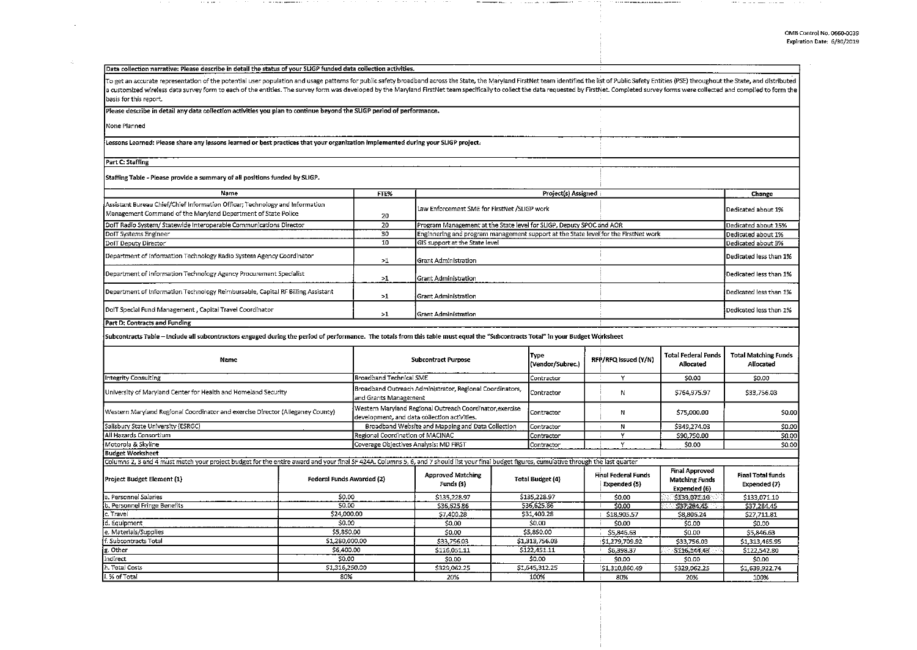$\cdots$ 

### Data collection narrative: Please describe in detail the status of your SLIGP funded data collection activities.

To get an accurate representation of the potential user population and usage patterns for public safety broadband across the State, the Maryland FirstNet team identified the list of Public Safety Entities (PSE) throughout a customized wireless data survey form to each of the entities. The survey form was developed by the Maryland FirstNet team specifically to collect the data requested by FirstNet. Completed survey forms were collected and basis for this report.

#### Please describe in detail any data collection activities you plan to continue beyond the SLIGP period of performance.

None Planned

 $\mathcal{L}$ 

#### Lessons Learned: Please share any lessons learned or best practices that your organization implemented during your SLIGP project.

Part C: Staffing

# Staffing Table - Please provide a summary of all positions funded by SLIGP.

| Name                                                                                                                                          | FTE% | Project(s) Assigned                                                                 | Change                 |
|-----------------------------------------------------------------------------------------------------------------------------------------------|------|-------------------------------------------------------------------------------------|------------------------|
|                                                                                                                                               |      |                                                                                     |                        |
| Assistant Bureau Chief/Chief Information Officer; Technology and Information<br>Management Command of the Maryland Department of State Police | 20   | Law Enforcement SME for FirstNet /SLIGP work                                        | Dedicated about 1%     |
| DoIT Radio System/ Statewide Interoperable Communications Director                                                                            | 20   | Program Management at the State level for SLIGP, Deputy SPOC and AOR                | Dedicated about 15%    |
| DoIT Systems Engineer                                                                                                                         | 30   | Enginnering and program management support at the State level for the FirstNet work | Dedicated about 1%     |
| DolT Deputy Director                                                                                                                          | 10   | GIS support at the State level                                                      | Dedicated about 3%     |
| Department of Information Technology Radio System Agency Coordinator                                                                          | >1   | <b>Grant Administration</b>                                                         | Dedicated less than 1% |
| Department of Information Technology Agency Procurement Specialist                                                                            | >1   | l Grant Administration                                                              | Dedicated less than 1% |
| Department of Information Technology Reimbursable, Capital RF Billing Assistant                                                               | >1   | <b>Srant Administration</b>                                                         | Dedicated less than 1% |
| DoIT Special Fund Management, Capital Travel Coordinator                                                                                      | >1   | <b>Srant Administration</b>                                                         | Dedicated less than 1% |

## Part D: Contracts and Funding

Subcontracts Table - In dude all subcontractors engaged during the period of performance. The totals from this table must equal the "Subcontracts Total" in your Budget Wtjrksheet

| Name                                                                                                                                                                                          | <b>Subcontract Purpose</b>                                                                               |                                                   |                                       | <b>Type</b><br>(Vendor/Subrec.) |                         | RFP/RFQ Issued (Y/N) | <b>Total Federal Funds</b><br>Allocated    | <b>Total Matching Funds</b><br>Allocated                       |                                          |
|-----------------------------------------------------------------------------------------------------------------------------------------------------------------------------------------------|----------------------------------------------------------------------------------------------------------|---------------------------------------------------|---------------------------------------|---------------------------------|-------------------------|----------------------|--------------------------------------------|----------------------------------------------------------------|------------------------------------------|
| Integrity Consulting                                                                                                                                                                          | Broadband Technical SME                                                                                  |                                                   |                                       | Contractor                      | $\check{}$              |                      | \$0.00                                     | \$0.00                                                         |                                          |
| University of Maryland Center for Health and Homeland Security                                                                                                                                | Broadband Outreach Administrator, Regional Coordinators,<br>and Grants Management                        |                                                   |                                       | Contractor                      |                         | N                    | \$764,975.97                               | \$33,756.03                                                    |                                          |
| Western Maryland Regional Coordinator and exercise Director (Alleganey County)                                                                                                                | Western Maryland Regional Outreach Coordinator, exercise<br>development, and data collection activities. |                                                   |                                       | Contractor                      | Ν                       |                      | 575.000.00                                 | \$0.00                                                         |                                          |
| Salisbury State University (ESRGC)                                                                                                                                                            |                                                                                                          | Broadband Website and Mapping and Data Collection |                                       |                                 | Contractor              | N                    |                                            | \$349,274.03                                                   | \$0.00                                   |
| All Hazards Consortium                                                                                                                                                                        | Regional Coordination of MACINAC                                                                         |                                                   |                                       | Contractor                      |                         |                      | \$90,750.00                                | \$0.00                                                         |                                          |
| Motorola & Skyline                                                                                                                                                                            | Coverage Objectives Analysis: MD FIRST                                                                   |                                                   |                                       | Contractor                      |                         |                      | \$0.00                                     | \$0.00                                                         |                                          |
| Budget Worksheet                                                                                                                                                                              |                                                                                                          |                                                   |                                       |                                 |                         |                      |                                            |                                                                |                                          |
| Columns 2, 3 and 4 must match your project budget for the entire award and your final SF 424A. Columns 5, 6, and 7 should list your final budget figures, cumulative through the last quarter |                                                                                                          |                                                   |                                       |                                 |                         |                      |                                            |                                                                |                                          |
| Project Budget Element (1)                                                                                                                                                                    | Federal Funds Awarded (2)                                                                                |                                                   | <b>Approved Matching</b><br>Funds (3) |                                 | <b>Total Budget (4)</b> |                      | <b>Final Federal Funds</b><br>Expended (5) | <b>Final Approved</b><br><b>Matching Funds</b><br>Expended (6) | <b>Final Total funds</b><br>Expended (7) |
| Personnel Salaries                                                                                                                                                                            | \$0.00                                                                                                   |                                                   | \$135,228.97                          |                                 | \$135,228.97            |                      | \$0.00                                     | 5133,071.10                                                    | \$133,071.10                             |
| b. Personnel Fringe Benefits                                                                                                                                                                  | 50.00                                                                                                    |                                                   | S36 625.86                            |                                 | \$36,625.86             |                      | \$0.00                                     | S37.284.45                                                     | \$37,284.45                              |
| c. Travel                                                                                                                                                                                     | \$24,000.00                                                                                              |                                                   | 57,400.28                             |                                 | \$31,400.28             |                      | \$18,905.57                                | S8,806.24                                                      | \$27,711.81                              |
| d. Equipment                                                                                                                                                                                  | 50.00                                                                                                    |                                                   | \$0.00                                | \$0.00                          |                         | \$0.00               |                                            | <b>SO.00</b>                                                   | \$0.00                                   |
| e. Materials/Supplies                                                                                                                                                                         | \$5,850.00                                                                                               |                                                   | \$0.00                                | \$5,850.00                      |                         | \$5,846.63           |                                            | \$0.00                                                         | \$5,846.63                               |
| f. Subcontracts Total                                                                                                                                                                         | 51,280,000,00                                                                                            |                                                   | \$33,756.03                           | \$1,313,756.03                  |                         | !\$1,279,709.92      |                                            | \$33,756.03                                                    | \$1,313,465.95                           |
| g. Other                                                                                                                                                                                      | \$6,400.00                                                                                               |                                                   | \$116,051.11                          | \$122,451.11                    |                         | \$6,398.37           |                                            | \$116,144.43                                                   | \$122,542.80                             |
| Indirect                                                                                                                                                                                      | 50.00                                                                                                    |                                                   | \$0.00                                |                                 | \$0.00                  |                      | \$0.00                                     | \$0.00                                                         | \$0.00                                   |
| h. Total Costs                                                                                                                                                                                | \$1,316,250.00                                                                                           |                                                   | \$329,062.25                          |                                 | \$1,645,312.25          |                      | \$1,310,860.49                             | \$329,062.25                                                   | \$1 639,922.74                           |
| i. % of Total                                                                                                                                                                                 | 80%                                                                                                      |                                                   | 20%                                   |                                 | 100%                    |                      | 80%                                        | 20%                                                            | 100%                                     |